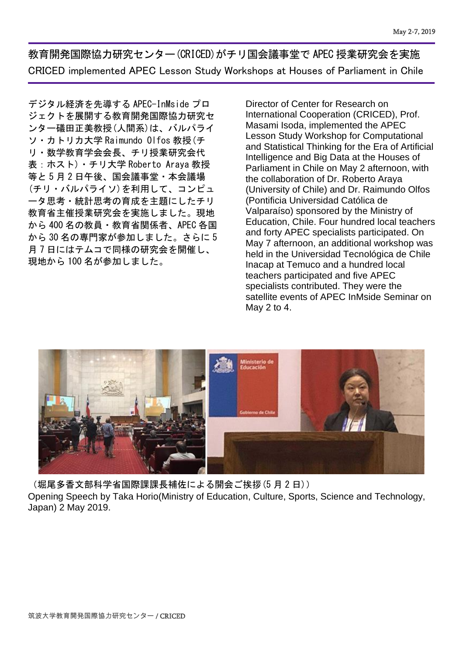教育開発国際協力研究センター(CRICED)がチリ国会議事堂で APEC 授業研究会を実施 CRICED implemented APEC Lesson Study Workshops at Houses of Parliament in Chile

デジタル経済を先導する APEC-InMside プロ ジェクトを展開する教育開発国際協力研究セ ンター礒田正美教授(人間系)は、バルパライ ソ・カトリカ大学 Raimundo Olfos 教授(チ リ・数学教育学会会長、チリ授業研究会代 表:ホスト)・チリ大学 Roberto Araya 教授 等と 5 月 2 日午後、国会議事堂・本会議場 (チリ・バルパライソ)を利用して、コンピュ ータ思考・統計思考の育成を主題にしたチリ 教育省主催授業研究会を実施しました。現地 から 400 名の教員・教育省関係者、APEC 各国 から 30 名の専門家が参加しました。さらに 5 月 7 日にはテムコで同様の研究会を開催し、 現地から 100 名が参加しました。

Director of Center for Research on International Cooperation (CRICED), Prof. Masami Isoda, implemented the APEC Lesson Study Workshop for Computational and Statistical Thinking for the Era of Artificial Intelligence and Big Data at the Houses of Parliament in Chile on May 2 afternoon, with the collaboration of Dr. Roberto Araya (University of Chile) and Dr. Raimundo Olfos (Pontificia Universidad Católica de Valparaíso) sponsored by the Ministry of Education, Chile. Four hundred local teachers and forty APEC specialists participated. On May 7 afternoon, an additional workshop was held in the Universidad Tecnológica de Chile Inacap at Temuco and a hundred local teachers participated and five APEC specialists contributed. They were the satellite events of APEC InMside Seminar on May 2 to 4.



(堀尾多香文部科学省国際課課長補佐による開会ご挨拶(5 月 2 日)) Opening Speech by Taka Horio(Ministry of Education, Culture, Sports, Science and Technology, Japan) 2 May 2019.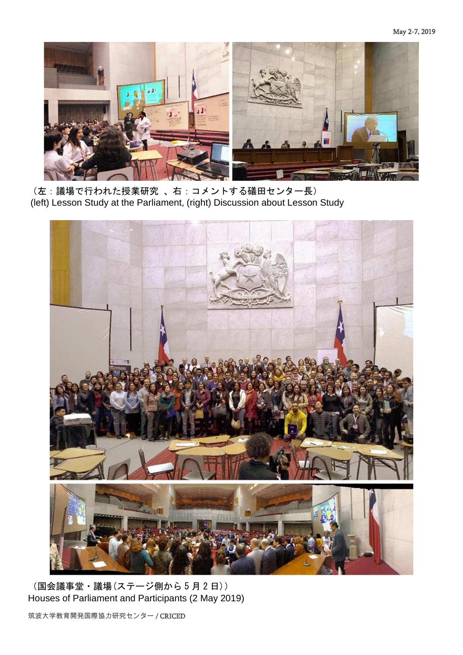

(左:議場で行われた授業研究 、右:コメントする礒田センター長) (left) Lesson Study at the Parliament, (right) Discussion about Lesson Study



(国会議事堂・議場(ステージ側から 5 月 2 日)) Houses of Parliament and Participants (2 May 2019)

筑波大学教育開発国際協力研究センター / CRICED